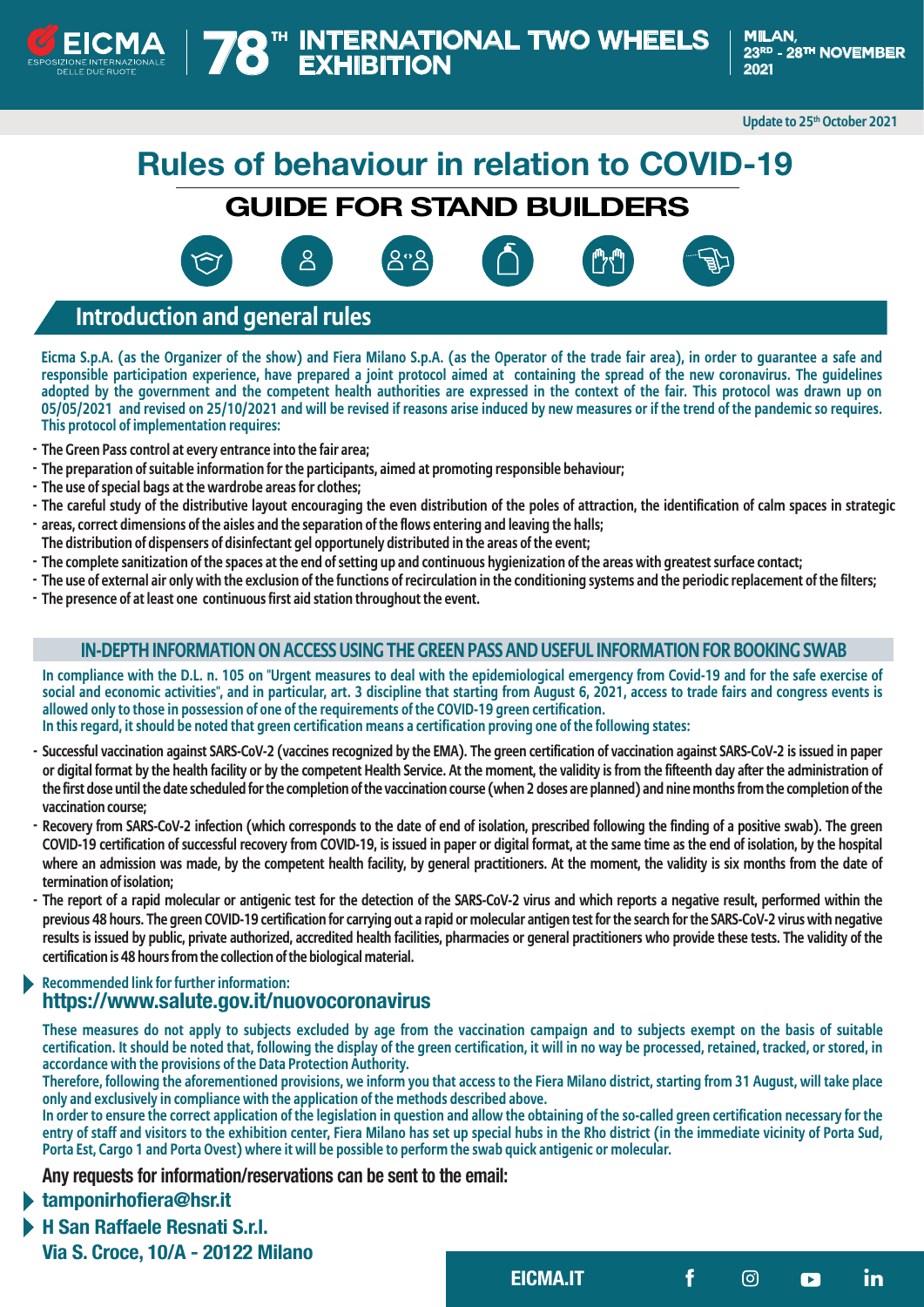

**Update to 25th October 2021**

# **Rules of behaviour in relation to COVID-19**

**GUIDE FOR STAND BUILDERS**







**EICMA.IT in**

# **Introduction and general rules**

**Eicma S.p.A. (as the Organizer of the show) and Fiera Milano S.p.A. (as the Operator of the trade fair area), in order to guarantee a safe and responsible participation experience, have prepared a joint protocol aimed at containing the spread of the new coronavirus. The guidelines adopted by the government and the competent health authorities are expressed in the context of the fair. This protocol was drawn up on 05/05/2021 and revised on 25/10/2021 and will be revised if reasons arise induced by new measures or if the trend of the pandemic so requires. This protocol of implementation requires:**

- **The Green Pass control at every entrance into the fair area; -**
- **The preparation of suitable information for the participants, aimed at promoting responsible behaviour; -**
- **The use of special bags at the wardrobe areas for clothes; -**
- **The careful study of the distributive layout encouraging the even distribution of the poles of attraction, the identification of calm spaces in strategic -**
- **areas, correct dimensions of the aisles and the separation of the flows entering and leaving the halls; -**
- **The distribution of dispensers of disinfectant gel opportunely distributed in the areas of the event;**
- **The complete sanitization of the spaces at the end of setting up and continuous hygienization of the areas with greatest surface contact; -**
- **The use of external air only with the exclusion of the functions of recirculation in the conditioning systems and the periodic replacement of the filters; -**
- **The presence of at least one continuous first aid station throughout the event. -**

## **IN-DEPTH INFORMATION ON ACCESS USING THE GREEN PASS AND USEFUL INFORMATION FOR BOOKING SWAB**

**In compliance with the D.L. n. 105 on "Urgent measures to deal with the epidemiological emergency from Covid-19 and for the safe exercise of social and economic activities", and in particular, art. 3 discipline that starting from August 6, 2021, access to trade fairs and congress events is allowed only to those in possession of one of the requirements of the COVID-19 green certification. In this regard, it should be noted that green certification means a certification proving one of the following states:**

- **Successful vaccination against SARS-CoV-2 (vaccines recognized by the EMA). The green certification of vaccination against SARS-CoV-2 is issued in paper or digital format by the health facility or by the competent Health Service. At the moment, the validity is from the fifteenth day after the administration of the first dose until the date scheduled for the completion of the vaccination course (when 2 doses are planned) and nine months from the completion of the vaccination course;**
- **Recovery from SARS-CoV-2 infection (which corresponds to the date of end of isolation, prescribed following the finding of a positive swab). The green - COVID-19 certification of successful recovery from COVID-19, is issued in paper or digital format, at the same time as the end of isolation, by the hospital where an admission was made, by the competent health facility, by general practitioners. At the moment, the validity is six months from the date of termination of isolation;**
- **The report of a rapid molecular or antigenic test for the detection of the SARS-CoV-2 virus and which reports a negative result, performed within the previous 48 hours. The green COVID-19 certification for carrying out a rapid or molecular antigen test for the search for the SARS-CoV-2 virus with negative results is issued by public, private authorized, accredited health facilities, pharmacies or general practitioners who provide these tests. The validity of the certification is 48 hours from the collection of the biological material.**

## **Recommended link for further information: https://www.salute.gov.it/nuovocoronavirus**

**These measures do not apply to subjects excluded by age from the vaccination campaign and to subjects exempt on the basis of suitable certification. It should be noted that, following the display of the green certification, it will in no way be processed, retained, tracked, or stored, in accordance with the provisions of the Data Protection Authority.**

**Therefore, following the aforementioned provisions, we inform you that access to the Fiera Milano district, starting from 31 August, will take place only and exclusively in compliance with the application of the methods described above.**

**In order to ensure the correct application of the legislation in question and allow the obtaining of the so-called green certification necessary for the entry of staff and visitors to the exhibition center, Fiera Milano has set up special hubs in the Rho district (in the immediate vicinity of Porta Sud, Porta Est, Cargo 1 and Porta Ovest) where it will be possible to perform the swab quick antigenic or molecular.**

**Any requests for information/reservations can be sent to the email:** 

**tamponirhofiera@hsr.it**

**H San Raffaele Resnati S.r.l. Via S. Croce, 10/A - 20122 Milano**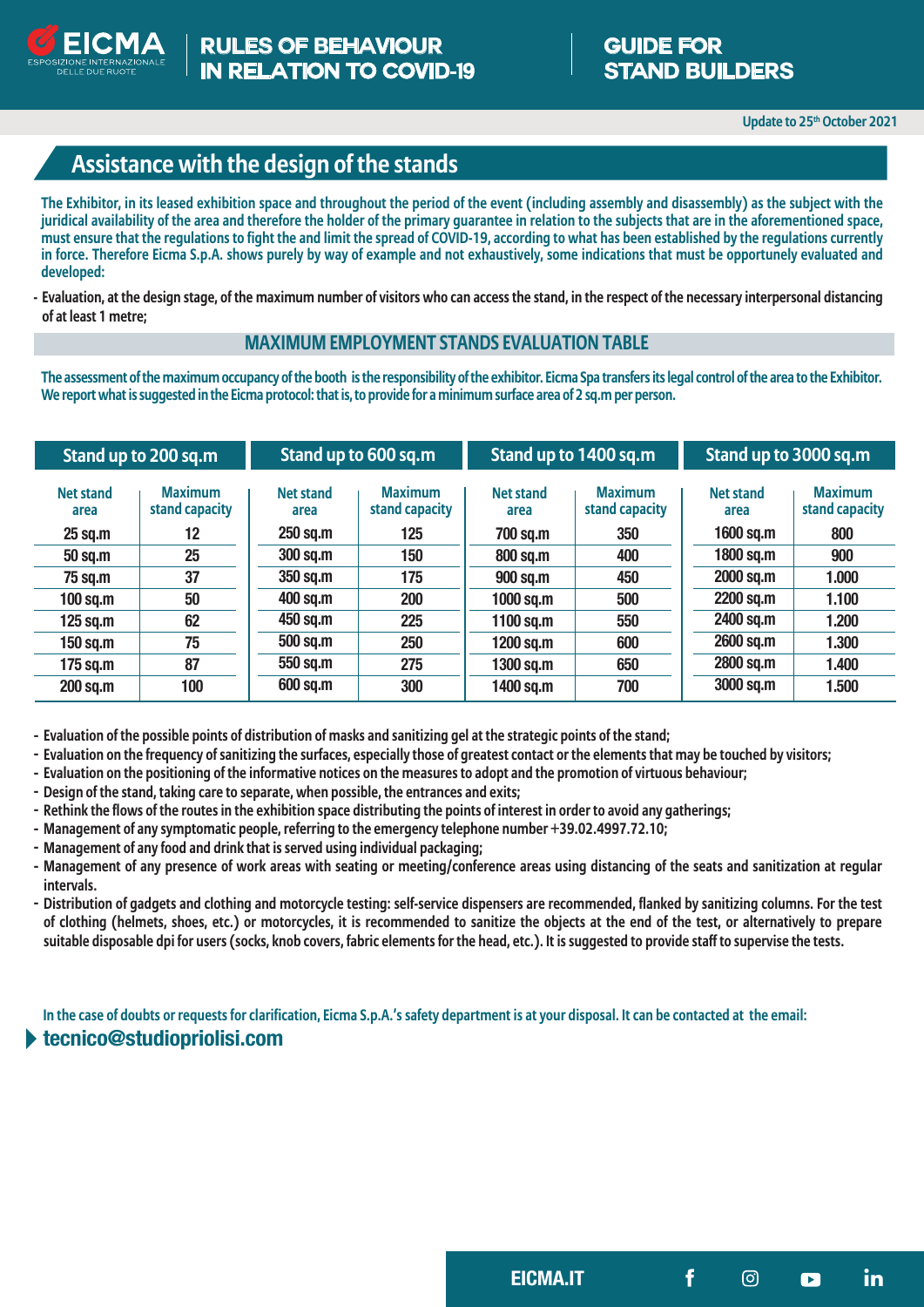

# **Assistance with the design of the stands**

**The Exhibitor, in its leased exhibition space and throughout the period of the event (including assembly and disassembly) as the subject with the juridical availability of the area and therefore the holder of the primary guarantee in relation to the subjects that are in the aforementioned space, must ensure that the regulations to fight the and limit the spread of COVID-19, according to what has been established by the regulations currently in force. Therefore Eicma S.p.A. shows purely by way of example and not exhaustively, some indications that must be opportunely evaluated and developed:**

**Evaluation, at the design stage, of the maximum number of visitors who can access the stand, in the respect of the necessary interpersonal distancing of at least 1 metre;**

#### **MAXIMUM EMPLOYMENT STANDS EVALUATION TABLE**

**The assessment of the maximum occupancy of the booth is the responsibility of the exhibitor. Eicma Spa transfers its legal control of the area to the Exhibitor. We report what is suggested in the Eicma protocol: that is, to provide for a minimum surface area of 2 sq.m per person.**

| Stand up to 200 sq.m     |                                  | Stand up to 600 sq.m     |                                  | Stand up to 1400 sq.m |                                  | Stand up to 3000 sq.m    |                                  |
|--------------------------|----------------------------------|--------------------------|----------------------------------|-----------------------|----------------------------------|--------------------------|----------------------------------|
| <b>Net stand</b><br>area | <b>Maximum</b><br>stand capacity | <b>Net stand</b><br>area | <b>Maximum</b><br>stand capacity | Net stand<br>area     | <b>Maximum</b><br>stand capacity | <b>Net stand</b><br>area | <b>Maximum</b><br>stand capacity |
| $25$ sq.m                | 12                               | 250 sq.m                 | 125                              | 700 sq.m              | 350                              | $1600$ sq.m              | 800                              |
| 50 sq.m                  | 25                               | <b>300 sq.m</b>          | 150                              | 800 sq.m              | 400                              | 1800 sq.m                | 900                              |
| 75 sq.m                  | 37                               | 350 sq.m                 | 175                              | 900 sq.m              | 450                              | 2000 sq.m                | 1.000                            |
| $100$ sq.m               | 50                               | 400 sq.m                 | 200                              | 1000 sq.m             | 500                              | 2200 sq.m                | 1.100                            |
| $125$ sq.m               | 62                               | 450 sq.m                 | 225                              | 1100 sq.m             | 550                              | 2400 sq.m                | 1.200                            |
| 150 sq.m                 | 75                               | 500 sq.m                 | 250                              | 1200 sq.m             | 600                              | 2600 sq.m                | 1.300                            |
| $175$ sq.m               | 87                               | 550 sq.m                 | 275                              | 1300 sq.m             | 650                              | 2800 sq.m                | 1.400                            |
| 200 sq.m                 | 100                              | 600 sq.m                 | 300                              | 1400 sq.m             | 700                              | 3000 sq.m                | 1.500                            |

**- Evaluation of the possible points of distribution of masks and sanitizing gel at the strategic points of the stand;**

- **- Evaluation on the frequency of sanitizing the surfaces, especially those of greatest contact or the elements that may be touched by visitors;**
- **- Evaluation on the positioning of the informative notices on the measures to adopt and the promotion of virtuous behaviour;**
- **- Design of the stand, taking care to separate, when possible, the entrances and exits;**
- **- Rethink the flows of the routes in the exhibition space distributing the points of interest in order to avoid any gatherings;**
- **- Management of any symptomatic people, referring to the emergency telephone number +39.02.4997.72.10;**
- **- Management of any food and drink that is served using individual packaging;**
- **- Management of any presence of work areas with seating or meeting/conference areas using distancing of the seats and sanitization at regular intervals.**
- **- Distribution of gadgets and clothing and motorcycle testing: self-service dispensers are recommended, flanked by sanitizing columns. For the test of clothing (helmets, shoes, etc.) or motorcycles, it is recommended to sanitize the objects at the end of the test, or alternatively to prepare suitable disposable dpi for users (socks, knob covers, fabric elements for the head, etc.). It is suggested to provide staff to supervise the tests.**

**In the case of doubts or requests for clarification, Eicma S.p.A.'s safety department is at your disposal. It can be contacted at the email:**

# **tecnico@studiopriolisi.com**

**EICMA.IT in**